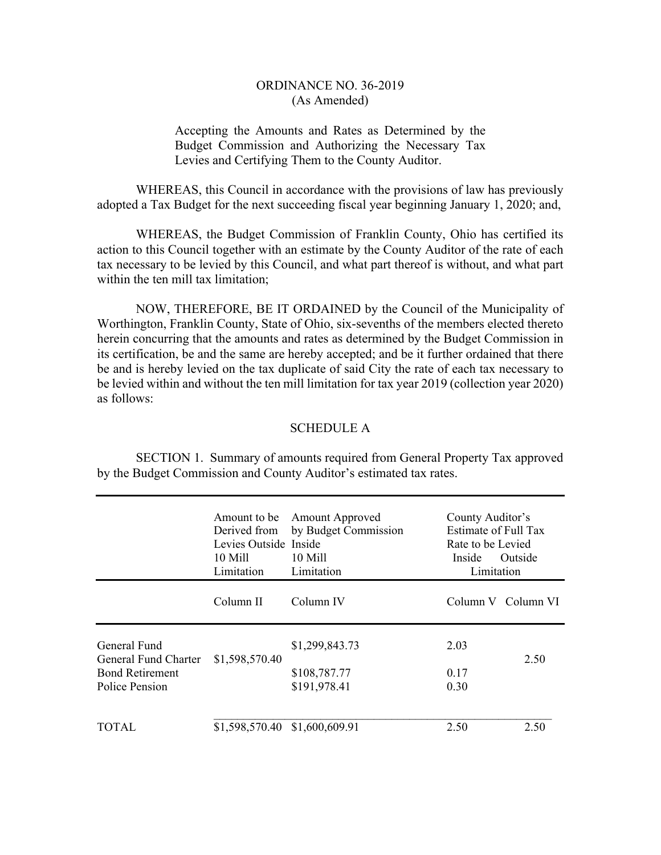## ORDINANCE NO. 36-2019 (As Amended)

# Accepting the Amounts and Rates as Determined by the Budget Commission and Authorizing the Necessary Tax Levies and Certifying Them to the County Auditor.

 WHEREAS, this Council in accordance with the provisions of law has previously adopted a Tax Budget for the next succeeding fiscal year beginning January 1, 2020; and,

 WHEREAS, the Budget Commission of Franklin County, Ohio has certified its action to this Council together with an estimate by the County Auditor of the rate of each tax necessary to be levied by this Council, and what part thereof is without, and what part within the ten mill tax limitation;

 NOW, THEREFORE, BE IT ORDAINED by the Council of the Municipality of Worthington, Franklin County, State of Ohio, six-sevenths of the members elected thereto herein concurring that the amounts and rates as determined by the Budget Commission in its certification, be and the same are hereby accepted; and be it further ordained that there be and is hereby levied on the tax duplicate of said City the rate of each tax necessary to be levied within and without the ten mill limitation for tax year 2019 (collection year 2020) as follows:

#### SCHEDULE A

 SECTION 1. Summary of amounts required from General Property Tax approved by the Budget Commission and County Auditor's estimated tax rates.

|                                                                | Amount to be<br>Derived from<br>Levies Outside Inside<br>10 Mill<br>Limitation | <b>Amount Approved</b><br>by Budget Commission<br>10 Mill<br>Limitation | County Auditor's<br>Estimate of Full Tax<br>Rate to be Levied<br>Inside<br><b>Outside</b><br>Limitation |                    |
|----------------------------------------------------------------|--------------------------------------------------------------------------------|-------------------------------------------------------------------------|---------------------------------------------------------------------------------------------------------|--------------------|
|                                                                | Column II                                                                      | Column IV                                                               |                                                                                                         | Column V Column VI |
| General Fund<br>General Fund Charter<br><b>Bond Retirement</b> | \$1,598,570.40                                                                 | \$1,299,843.73<br>\$108,787.77                                          | 2.03<br>0.17                                                                                            | 2.50               |
| Police Pension                                                 |                                                                                | \$191,978.41                                                            | 0.30                                                                                                    |                    |
| TOTAL                                                          | \$1,598,570.40 \$1,600,609.91                                                  |                                                                         | 2.50                                                                                                    | 2.50               |